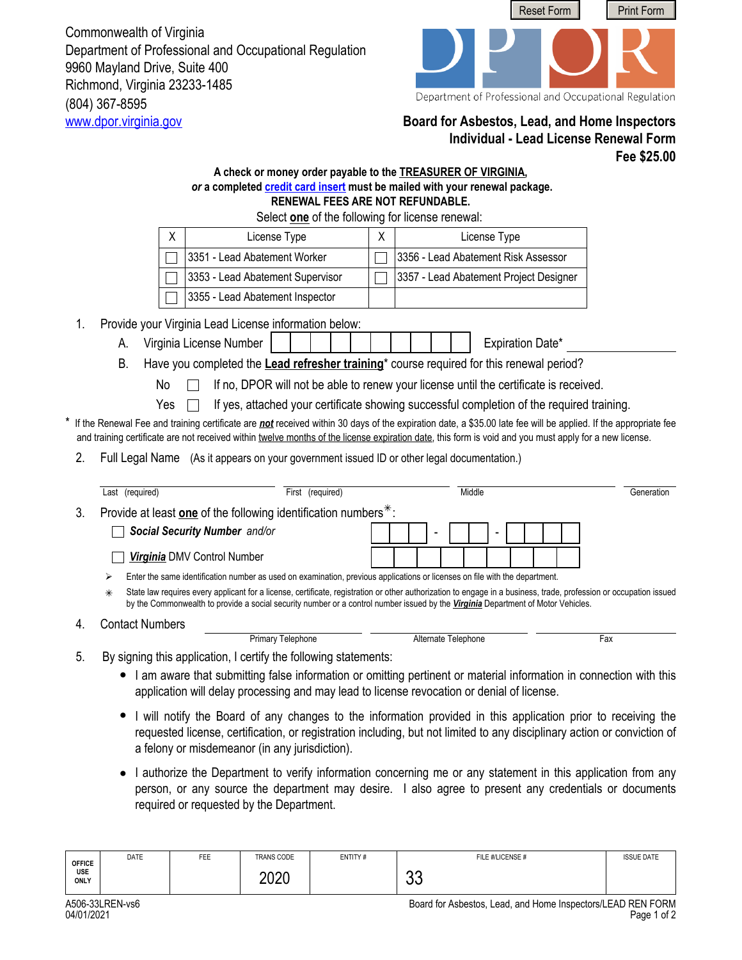(804) 367-8595 Commonwealth of Virginia Department of Professional and Occupational Regulation 9960 Mayland Drive, Suite 400 Richmond, Virginia 23233-1485



Department of Professional and Occupational Regulation

## <www.dpor.virginia.gov> **Board for Asbestos, Lead, and Home Inspectors Individual - Lead License Renewal Form Fee \$25.00**

## **A check or money order payable to the TREASURER OF VIRGINIA,**  *or* **a completed [credit card insert](http://www.dpor.virginia.gov/uploadedFiles/MainSite/Content/FormsandApplications/A406-CREDITCARD.pdf) must be mailed with your renewal package. RENEWAL FEES ARE NOT REFUNDABLE.**

|                                                             |                                                                                                                                  |                                                                                                                                                                                                                                                                                                                          | Select one of the following for license renewal: |  |                                        |  |                     |                  |     |            |
|-------------------------------------------------------------|----------------------------------------------------------------------------------------------------------------------------------|--------------------------------------------------------------------------------------------------------------------------------------------------------------------------------------------------------------------------------------------------------------------------------------------------------------------------|--------------------------------------------------|--|----------------------------------------|--|---------------------|------------------|-----|------------|
|                                                             | X                                                                                                                                | License Type                                                                                                                                                                                                                                                                                                             |                                                  |  | License Type                           |  |                     |                  |     |            |
|                                                             |                                                                                                                                  | 3351 - Lead Abatement Worker                                                                                                                                                                                                                                                                                             |                                                  |  | 3356 - Lead Abatement Risk Assessor    |  |                     |                  |     |            |
|                                                             |                                                                                                                                  | 3353 - Lead Abatement Supervisor                                                                                                                                                                                                                                                                                         |                                                  |  | 3357 - Lead Abatement Project Designer |  |                     |                  |     |            |
|                                                             |                                                                                                                                  | 3355 - Lead Abatement Inspector                                                                                                                                                                                                                                                                                          |                                                  |  |                                        |  |                     |                  |     |            |
| Provide your Virginia Lead License information below:<br>1. |                                                                                                                                  |                                                                                                                                                                                                                                                                                                                          |                                                  |  |                                        |  |                     |                  |     |            |
|                                                             | А.                                                                                                                               | Virginia License Number                                                                                                                                                                                                                                                                                                  |                                                  |  |                                        |  |                     | Expiration Date* |     |            |
|                                                             | В.                                                                                                                               |                                                                                                                                                                                                                                                                                                                          |                                                  |  |                                        |  |                     |                  |     |            |
|                                                             | Have you completed the Lead refresher training* course required for this renewal period?                                         |                                                                                                                                                                                                                                                                                                                          |                                                  |  |                                        |  |                     |                  |     |            |
|                                                             | No<br>If no, DPOR will not be able to renew your license until the certificate is received.                                      |                                                                                                                                                                                                                                                                                                                          |                                                  |  |                                        |  |                     |                  |     |            |
|                                                             | If yes, attached your certificate showing successful completion of the required training.<br>Yes                                 |                                                                                                                                                                                                                                                                                                                          |                                                  |  |                                        |  |                     |                  |     |            |
|                                                             |                                                                                                                                  | If the Renewal Fee and training certificate are not received within 30 days of the expiration date, a \$35.00 late fee will be applied. If the appropriate fee<br>and training certificate are not received within twelve months of the license expiration date, this form is void and you must apply for a new license. |                                                  |  |                                        |  |                     |                  |     |            |
| 2.                                                          | (As it appears on your government issued ID or other legal documentation.)<br>Full Legal Name                                    |                                                                                                                                                                                                                                                                                                                          |                                                  |  |                                        |  |                     |                  |     |            |
|                                                             |                                                                                                                                  |                                                                                                                                                                                                                                                                                                                          |                                                  |  |                                        |  |                     |                  |     |            |
|                                                             | Last (required)                                                                                                                  |                                                                                                                                                                                                                                                                                                                          | First (required)                                 |  |                                        |  | Middle              |                  |     | Generation |
| 3.                                                          | Provide at least one of the following identification numbers <sup>*</sup> :                                                      |                                                                                                                                                                                                                                                                                                                          |                                                  |  |                                        |  |                     |                  |     |            |
|                                                             |                                                                                                                                  | Social Security Number and/or                                                                                                                                                                                                                                                                                            |                                                  |  |                                        |  |                     |                  |     |            |
|                                                             | Virginia DMV Control Number                                                                                                      |                                                                                                                                                                                                                                                                                                                          |                                                  |  |                                        |  |                     |                  |     |            |
|                                                             | Enter the same identification number as used on examination, previous applications or licenses on file with the department.<br>⋗ |                                                                                                                                                                                                                                                                                                                          |                                                  |  |                                        |  |                     |                  |     |            |
|                                                             | ⋇                                                                                                                                | State law requires every applicant for a license, certificate, registration or other authorization to engage in a business, trade, profession or occupation issued<br>by the Commonwealth to provide a social security number or a control number issued by the Virginia Department of Motor Vehicles.                   |                                                  |  |                                        |  |                     |                  |     |            |
| 4.                                                          | <b>Contact Numbers</b>                                                                                                           |                                                                                                                                                                                                                                                                                                                          |                                                  |  |                                        |  |                     |                  |     |            |
|                                                             |                                                                                                                                  | <b>Primary Telephone</b>                                                                                                                                                                                                                                                                                                 |                                                  |  |                                        |  | Alternate Telephone |                  | Fax |            |
| 5.                                                          |                                                                                                                                  | By signing this application, I certify the following statements:                                                                                                                                                                                                                                                         |                                                  |  |                                        |  |                     |                  |     |            |
|                                                             |                                                                                                                                  | I am aware that submitting false information or omitting pertinent or material information in connection with this<br>application will delay processing and may lead to license revocation or denial of license.                                                                                                         |                                                  |  |                                        |  |                     |                  |     |            |

- I will notify the Board of any changes to the information provided in this application prior to receiving the requested license, certification, or registration including, but not limited to any disciplinary action or conviction of a felony or misdemeanor (in any jurisdiction).
- I authorize the Department to verify information concerning me or any statement in this application from any person, or any source the department may desire. I also agree to present any credentials or documents required or requested by the Department.

| ONLY                                | ∩∩∩∩<br>ZUZU | n r<br>uu |                                       |
|-------------------------------------|--------------|-----------|---------------------------------------|
| <b>USE</b>                          |              |           |                                       |
| <b>DATE</b><br>FEE<br><b>OFFICE</b> | TRANS CODE   | ENTITY#   | <b>ISSUE DATE</b><br>FILE #/LICENSE # |